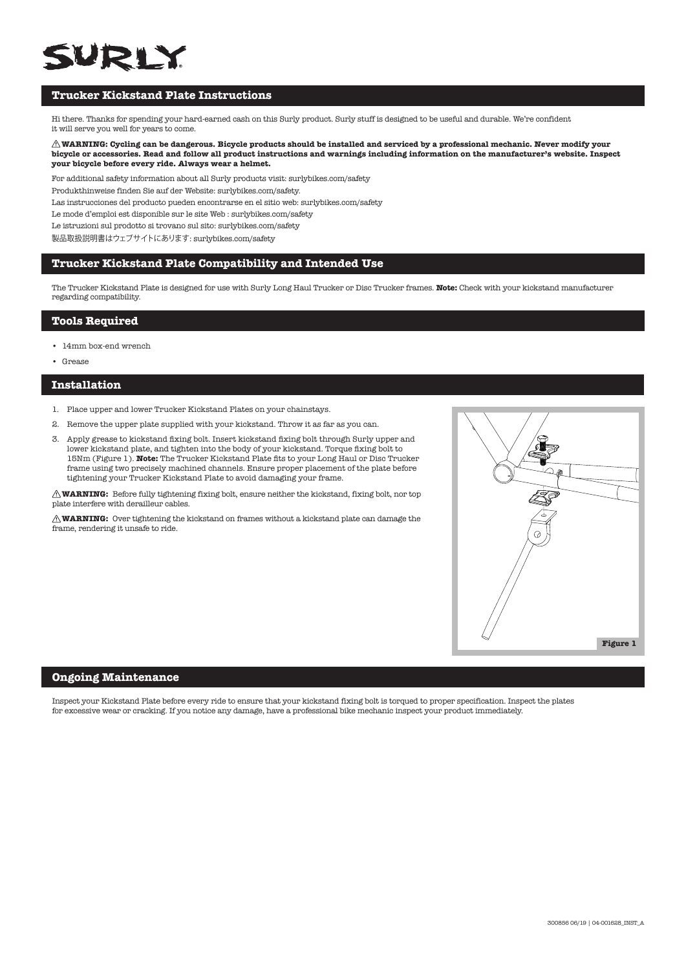# SUDI Y

# **Trucker Kickstand Plate Instructions**

Hi there. Thanks for spending your hard-earned cash on this Surly product. Surly stuff is designed to be useful and durable. We're confident it will serve you well for years to come.

#### **WARNING: Cycling can be dangerous. Bicycle products should be installed and serviced by a professional mechanic. Never modify your bicycle or accessories. Read and follow all product instructions and warnings including information on the manufacturer's website. Inspect your bicycle before every ride. Always wear a helmet.**

For additional safety information about all Surly products visit: surlybikes.com/safety

Produkthinweise finden Sie auf der Website: surlybikes.com/safety.

Las instrucciones del producto pueden encontrarse en el sitio web: surlybikes.com/safety

Le mode d'emploi est disponible sur le site Web : surlybikes.com/safety

Le istruzioni sul prodotto si trovano sul sito: surlybikes.com/safety

製品取扱説明書はウェブサイトにあります: surlybikes.com/safety

#### **Trucker Kickstand Plate Compatibility and Intended Use**

The Trucker Kickstand Plate is designed for use with Surly Long Haul Trucker or Disc Trucker frames. **Note:** Check with your kickstand manufacturer regarding compatibility.

# **Tools Required**

- 14mm box-end wrench
- Grease

### **Installation**

- 1. Place upper and lower Trucker Kickstand Plates on your chainstays.
- 2. Remove the upper plate supplied with your kickstand. Throw it as far as you can.
- 3. Apply grease to kickstand fixing bolt. Insert kickstand fixing bolt through Surly upper and lower kickstand plate, and tighten into the body of your kickstand. Torque fixing bolt to 15Nm (Figure 1). **Note:** The Trucker Kickstand Plate fits to your Long Haul or Disc Trucker frame using two precisely machined channels. Ensure proper placement of the plate before tightening your Trucker Kickstand Plate to avoid damaging your frame.

**WARNING:** Before fully tightening fixing bolt, ensure neither the kickstand, fixing bolt, nor top plate interfere with derailleur cables.

**WARNING:** Over tightening the kickstand on frames without a kickstand plate can damage the frame, rendering it unsafe to ride.



## **Ongoing Maintenance**

Inspect your Kickstand Plate before every ride to ensure that your kickstand fixing bolt is torqued to proper specification. Inspect the plates for excessive wear or cracking. If you notice any damage, have a professional bike mechanic inspect your product immediately.